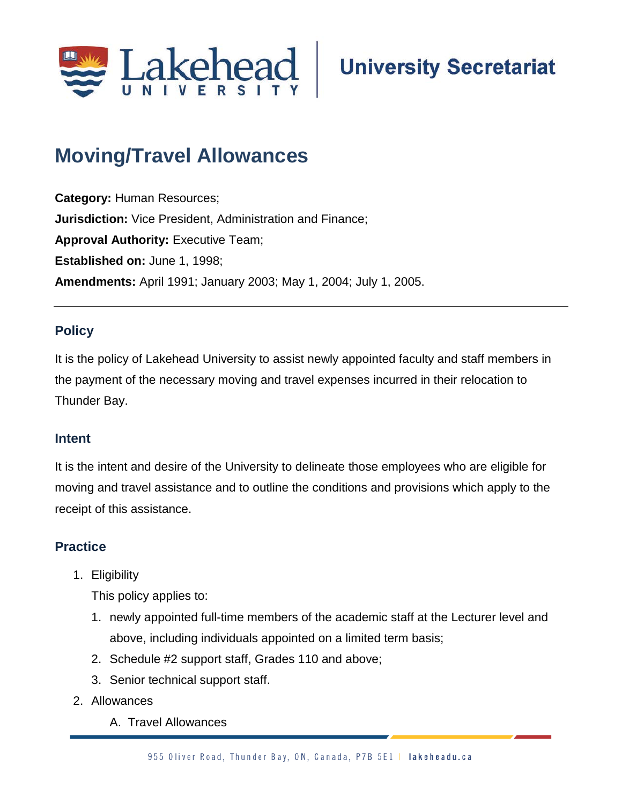

# **Moving/Travel Allowances;**

**Category:** Human Resources; **Jurisdiction:** Vice President, Administration and Finance; **Approval Authority: Executive Team; Established on:** June 1, 1998; **Amendments:** April 1991; January 2003; May 1, 2004; July 1, 2005.

## **Policy**

It is the policy of Lakehead University to assist newly appointed faculty and staff members in the payment of the necessary moving and travel expenses incurred in their relocation to Thunder Bay.

### **Intent**

It is the intent and desire of the University to delineate those employees who are eligible for moving and travel assistance and to outline the conditions and provisions which apply to the receipt of this assistance.

## **Practice**

1. Eligibility

This policy applies to:

- 1. newly appointed full-time members of the academic staff at the Lecturer level and above, including individuals appointed on a limited term basis;
- 2. Schedule #2 support staff, Grades 110 and above;
- 3. Senior technical support staff.
- 2. Allowances
	- A. Travel Allowances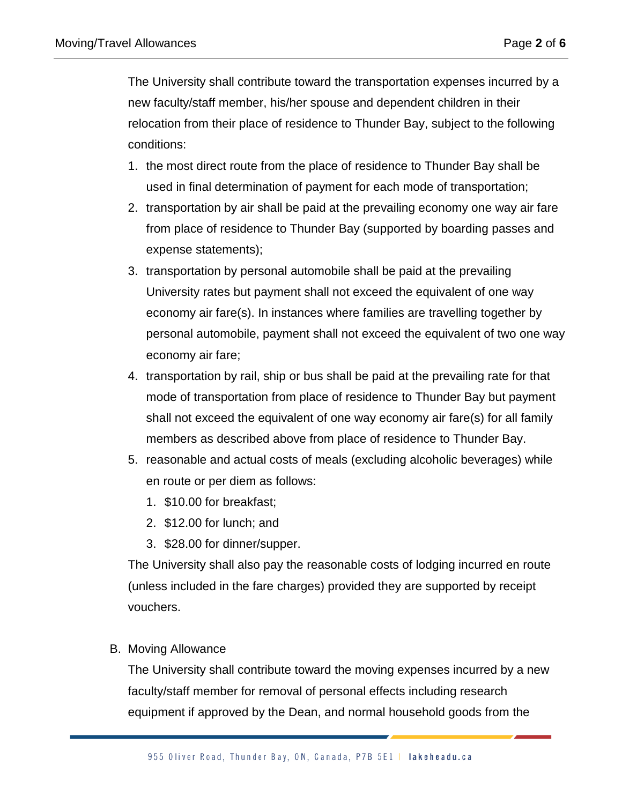The University shall contribute toward the transportation expenses incurred by a new faculty/staff member, his/her spouse and dependent children in their relocation from their place of residence to Thunder Bay, subject to the following conditions:

- 1. the most direct route from the place of residence to Thunder Bay shall be used in final determination of payment for each mode of transportation;
- 2. transportation by air shall be paid at the prevailing economy one way air fare from place of residence to Thunder Bay (supported by boarding passes and expense statements);
- 3. transportation by personal automobile shall be paid at the prevailing University rates but payment shall not exceed the equivalent of one way economy air fare(s). In instances where families are travelling together by personal automobile, payment shall not exceed the equivalent of two one way economy air fare;
- 4. transportation by rail, ship or bus shall be paid at the prevailing rate for that mode of transportation from place of residence to Thunder Bay but payment shall not exceed the equivalent of one way economy air fare(s) for all family members as described above from place of residence to Thunder Bay.
- 5. reasonable and actual costs of meals (excluding alcoholic beverages) while en route or per diem as follows:
	- 1. \$10.00 for breakfast;
	- 2. \$12.00 for lunch; and
	- 3. \$28.00 for dinner/supper.

The University shall also pay the reasonable costs of lodging incurred en route (unless included in the fare charges) provided they are supported by receipt vouchers.

B. Moving Allowance

The University shall contribute toward the moving expenses incurred by a new faculty/staff member for removal of personal effects including research equipment if approved by the Dean, and normal household goods from the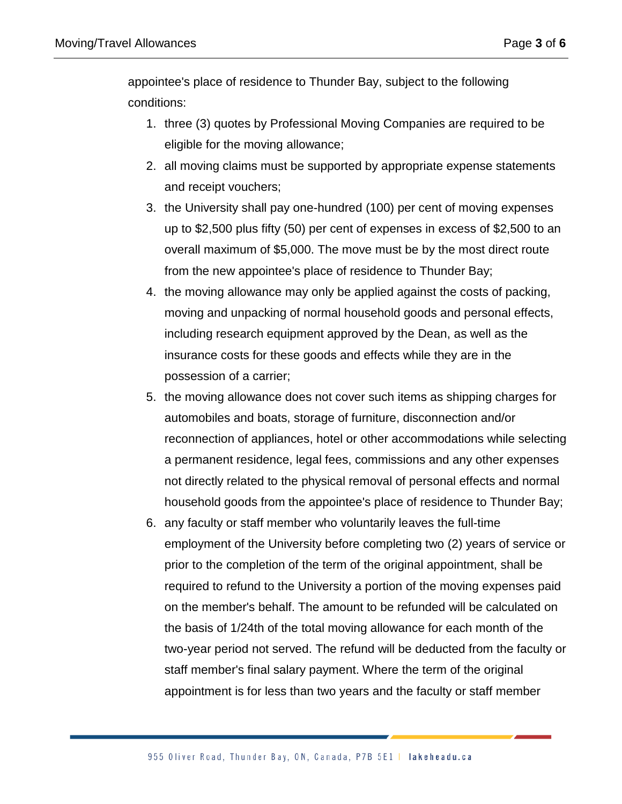appointee's place of residence to Thunder Bay, subject to the following conditions:

- 1. three (3) quotes by Professional Moving Companies are required to be eligible for the moving allowance;
- 2. all moving claims must be supported by appropriate expense statements and receipt vouchers;
- 3. the University shall pay one-hundred (100) per cent of moving expenses up to \$2,500 plus fifty (50) per cent of expenses in excess of \$2,500 to an overall maximum of \$5,000. The move must be by the most direct route from the new appointee's place of residence to Thunder Bay;
- 4. the moving allowance may only be applied against the costs of packing, moving and unpacking of normal household goods and personal effects, including research equipment approved by the Dean, as well as the insurance costs for these goods and effects while they are in the possession of a carrier;
- 5. the moving allowance does not cover such items as shipping charges for automobiles and boats, storage of furniture, disconnection and/or reconnection of appliances, hotel or other accommodations while selecting a permanent residence, legal fees, commissions and any other expenses not directly related to the physical removal of personal effects and normal household goods from the appointee's place of residence to Thunder Bay;
- 6. any faculty or staff member who voluntarily leaves the full-time employment of the University before completing two (2) years of service or prior to the completion of the term of the original appointment, shall be required to refund to the University a portion of the moving expenses paid on the member's behalf. The amount to be refunded will be calculated on the basis of 1/24th of the total moving allowance for each month of the two-year period not served. The refund will be deducted from the faculty or staff member's final salary payment. Where the term of the original appointment is for less than two years and the faculty or staff member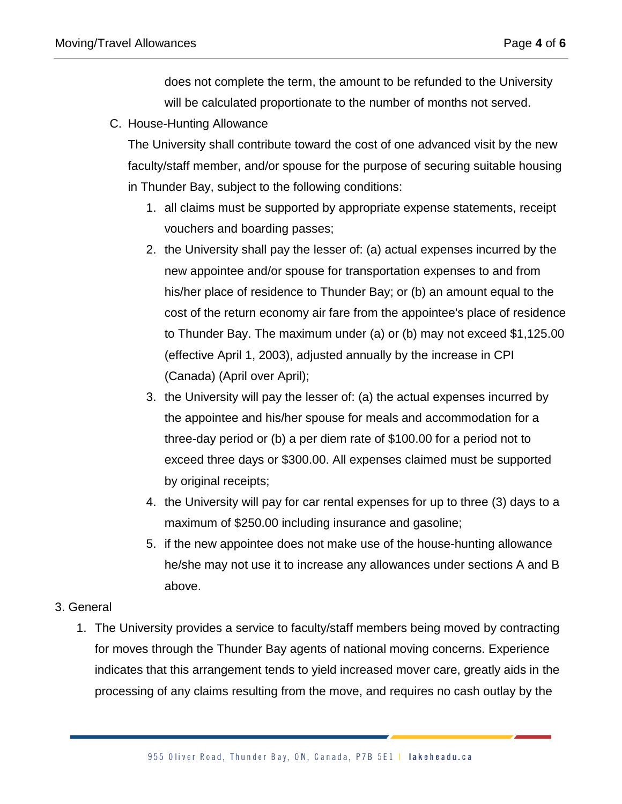does not complete the term, the amount to be refunded to the University will be calculated proportionate to the number of months not served.

C. House-Hunting Allowance

The University shall contribute toward the cost of one advanced visit by the new faculty/staff member, and/or spouse for the purpose of securing suitable housing in Thunder Bay, subject to the following conditions:

- 1. all claims must be supported by appropriate expense statements, receipt vouchers and boarding passes;
- 2. the University shall pay the lesser of: (a) actual expenses incurred by the new appointee and/or spouse for transportation expenses to and from his/her place of residence to Thunder Bay; or (b) an amount equal to the cost of the return economy air fare from the appointee's place of residence to Thunder Bay. The maximum under (a) or (b) may not exceed \$1,125.00 (effective April 1, 2003), adjusted annually by the increase in CPI (Canada) (April over April);
- 3. the University will pay the lesser of: (a) the actual expenses incurred by the appointee and his/her spouse for meals and accommodation for a three-day period or (b) a per diem rate of \$100.00 for a period not to exceed three days or \$300.00. All expenses claimed must be supported by original receipts;
- 4. the University will pay for car rental expenses for up to three (3) days to a maximum of \$250.00 including insurance and gasoline;
- 5. if the new appointee does not make use of the house-hunting allowance he/she may not use it to increase any allowances under sections A and B above.

#### 3. General

1. The University provides a service to faculty/staff members being moved by contracting for moves through the Thunder Bay agents of national moving concerns. Experience indicates that this arrangement tends to yield increased mover care, greatly aids in the processing of any claims resulting from the move, and requires no cash outlay by the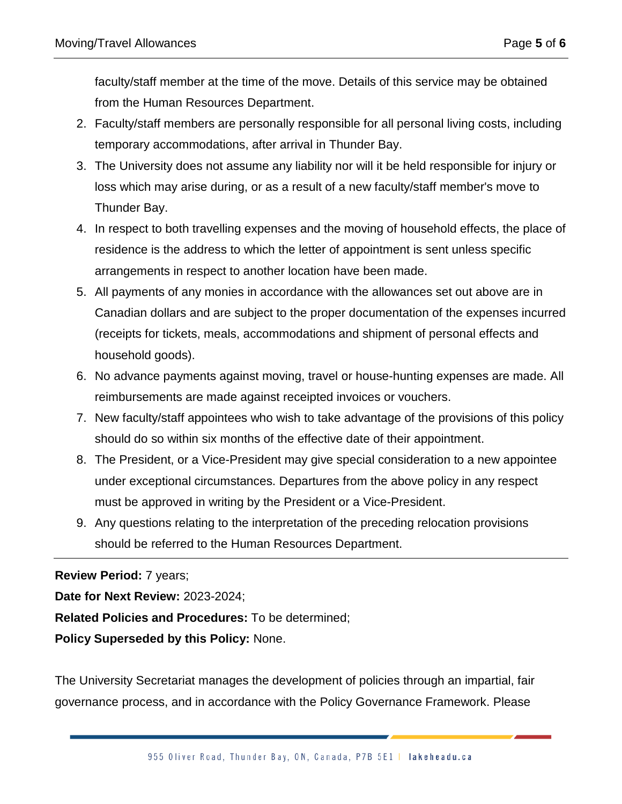faculty/staff member at the time of the move. Details of this service may be obtained from the Human Resources Department.

- 2. Faculty/staff members are personally responsible for all personal living costs, including temporary accommodations, after arrival in Thunder Bay.
- 3. The University does not assume any liability nor will it be held responsible for injury or loss which may arise during, or as a result of a new faculty/staff member's move to Thunder Bay.
- 4. In respect to both travelling expenses and the moving of household effects, the place of residence is the address to which the letter of appointment is sent unless specific arrangements in respect to another location have been made.
- 5. All payments of any monies in accordance with the allowances set out above are in Canadian dollars and are subject to the proper documentation of the expenses incurred (receipts for tickets, meals, accommodations and shipment of personal effects and household goods).
- 6. No advance payments against moving, travel or house-hunting expenses are made. All reimbursements are made against receipted invoices or vouchers.
- 7. New faculty/staff appointees who wish to take advantage of the provisions of this policy should do so within six months of the effective date of their appointment.
- 8. The President, or a Vice-President may give special consideration to a new appointee under exceptional circumstances. Departures from the above policy in any respect must be approved in writing by the President or a Vice-President.
- 9. Any questions relating to the interpretation of the preceding relocation provisions should be referred to the Human Resources Department.

**Review Period:** 7 years;

**Date for Next Review:** 2023-2024;

**Related Policies and Procedures:** To be determined;

**Policy Superseded by this Policy:** None.

The University Secretariat manages the development of policies through an impartial, fair governance process, and in accordance with the Policy Governance Framework. Please